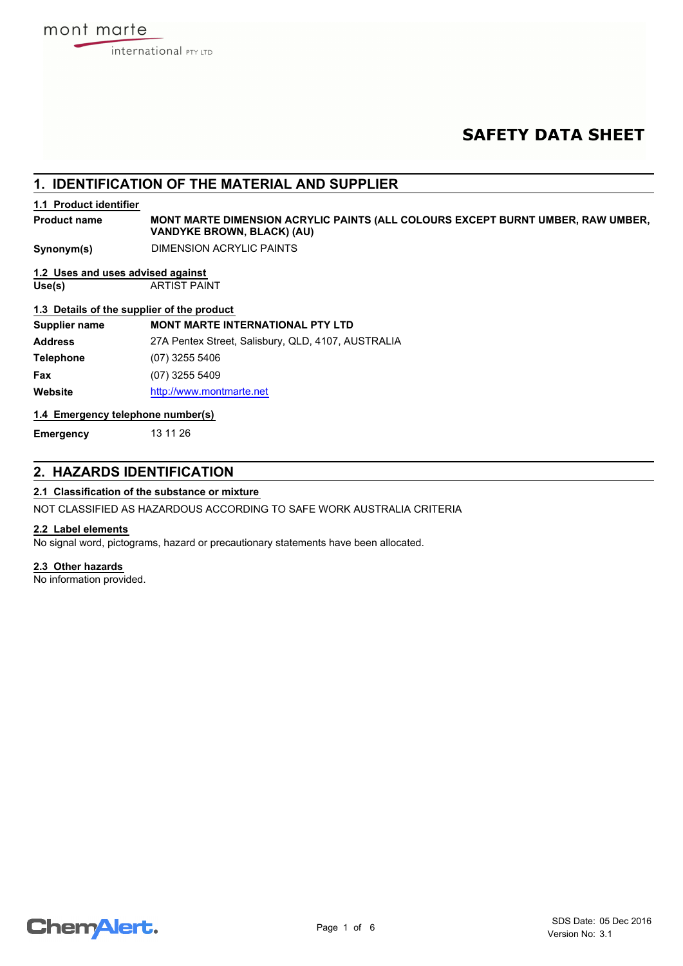# **SAFETY DATA SHEET**

## **1. IDENTIFICATION OF THE MATERIAL AND SUPPLIER**

## **1.1 Product identifier**

**MONT MARTE DIMENSION ACRYLIC PAINTS (ALL COLOURS EXCEPT BURNT UMBER, RAW UMBER, VANDYKE BROWN, BLACK) (AU) Product name**

**Synonym(s)** DIMENSION ACRYLIC PAINTS

## **1.2 Uses and uses advised against**

**Use(s)** ARTIST PAINT

## **1.3 Details of the supplier of the product**

| Supplier name    | <b>MONT MARTE INTERNATIONAL PTY LTD</b>            |
|------------------|----------------------------------------------------|
| <b>Address</b>   | 27A Pentex Street, Salisbury, QLD, 4107, AUSTRALIA |
| <b>Telephone</b> | (07) 3255 5406                                     |
| Fax              | (07) 3255 5409                                     |
| Website          | http://www.montmarte.net                           |

#### **1.4 Emergency telephone number(s)**

**Emergency** 13 11 26

## **2. HAZARDS IDENTIFICATION**

## **2.1 Classification of the substance or mixture**

NOT CLASSIFIED AS HAZARDOUS ACCORDING TO SAFE WORK AUSTRALIA CRITERIA

### **2.2 Label elements**

No signal word, pictograms, hazard or precautionary statements have been allocated.

#### **2.3 Other hazards**

No information provided.

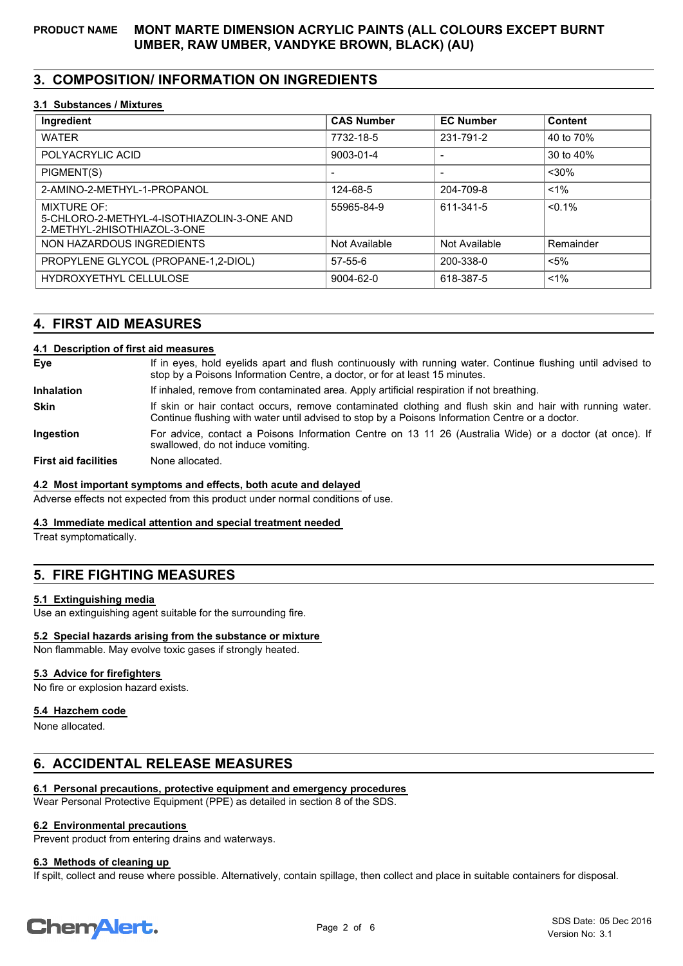# **3. COMPOSITION/ INFORMATION ON INGREDIENTS**

### **3.1 Substances / Mixtures**

| Ingredient                                                                                      | <b>CAS Number</b> | <b>EC Number</b> | Content   |
|-------------------------------------------------------------------------------------------------|-------------------|------------------|-----------|
| <b>WATER</b>                                                                                    | 7732-18-5         | 231-791-2        | 40 to 70% |
| POLYACRYLIC ACID                                                                                | 9003-01-4         |                  | 30 to 40% |
| PIGMENT(S)                                                                                      |                   |                  | $30%$     |
| 2-AMINO-2-METHYL-1-PROPANOL                                                                     | 124-68-5          | 204-709-8        | $< 1\%$   |
| <b>MIXTURE OF:</b><br>5-CHLORO-2-METHYL-4-ISOTHIAZOLIN-3-ONE AND<br>2-METHYL-2HISOTHIAZOL-3-ONE | 55965-84-9        | 611-341-5        | $< 0.1\%$ |
| NON HAZARDOUS INGREDIENTS                                                                       | Not Available     | Not Available    | Remainder |
| PROPYLENE GLYCOL (PROPANE-1,2-DIOL)                                                             | $57 - 55 - 6$     | 200-338-0        | $< 5\%$   |
| HYDROXYETHYL CELLULOSE                                                                          | 9004-62-0         | 618-387-5        | $1\%$     |

## **4. FIRST AID MEASURES**

## **4.1 Description of first aid measures**

If in eyes, hold eyelids apart and flush continuously with running water. Continue flushing until advised to stop by a Poisons Information Centre, a doctor, or for at least 15 minutes.

**Inhalation** If inhaled, remove from contaminated area. Apply artificial respiration if not breathing.

If skin or hair contact occurs, remove contaminated clothing and flush skin and hair with running water. Continue flushing with water until advised to stop by a Poisons Information Centre or a doctor. **Skin**

For advice, contact a Poisons Information Centre on 13 11 26 (Australia Wide) or a doctor (at once). If swallowed, do not induce vomiting. **Ingestion**

**First aid facilities** None allocated.

#### **4.2 Most important symptoms and effects, both acute and delayed**

Adverse effects not expected from this product under normal conditions of use.

### **4.3 Immediate medical attention and special treatment needed**

Treat symptomatically.

**Eye**

## **5. FIRE FIGHTING MEASURES**

#### **5.1 Extinguishing media**

Use an extinguishing agent suitable for the surrounding fire.

#### **5.2 Special hazards arising from the substance or mixture**

Non flammable. May evolve toxic gases if strongly heated.

#### **5.3 Advice for firefighters**

No fire or explosion hazard exists.

#### **5.4 Hazchem code**

None allocated.

## **6. ACCIDENTAL RELEASE MEASURES**

### **6.1 Personal precautions, protective equipment and emergency procedures**

Wear Personal Protective Equipment (PPE) as detailed in section 8 of the SDS.

### **6.2 Environmental precautions**

Prevent product from entering drains and waterways.

#### **6.3 Methods of cleaning up**

If spilt, collect and reuse where possible. Alternatively, contain spillage, then collect and place in suitable containers for disposal.

# **ChemAlert.**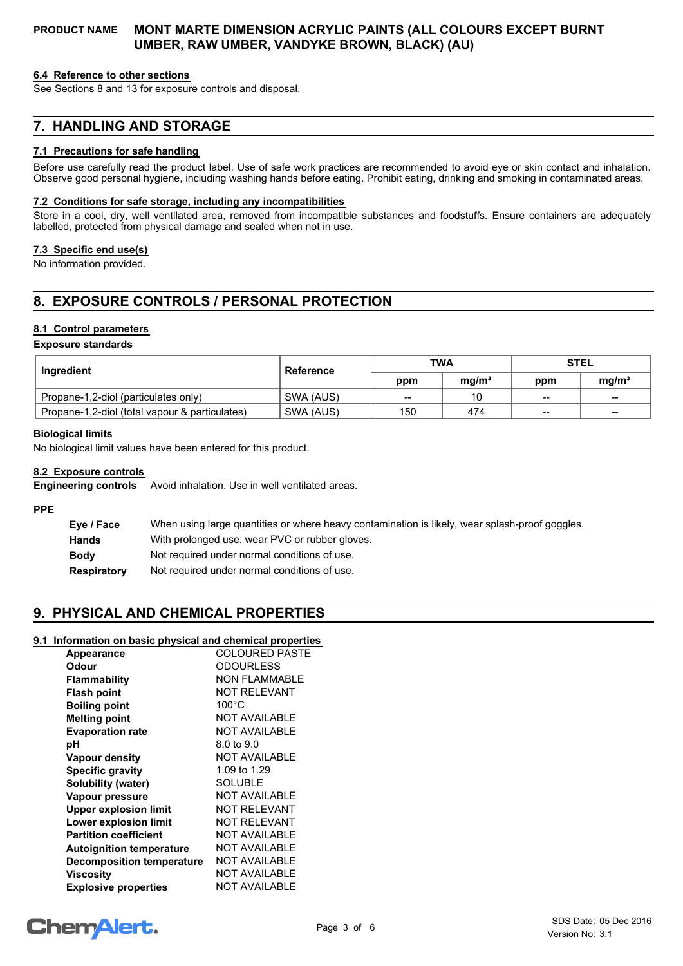#### **6.4 Reference to other sections**

See Sections 8 and 13 for exposure controls and disposal.

## **7. HANDLING AND STORAGE**

#### **7.1 Precautions for safe handling**

Before use carefully read the product label. Use of safe work practices are recommended to avoid eye or skin contact and inhalation. Observe good personal hygiene, including washing hands before eating. Prohibit eating, drinking and smoking in contaminated areas.

#### **7.2 Conditions for safe storage, including any incompatibilities**

Store in a cool, dry, well ventilated area, removed from incompatible substances and foodstuffs. Ensure containers are adequately labelled, protected from physical damage and sealed when not in use.

#### **7.3 Specific end use(s)**

No information provided.

## **8. EXPOSURE CONTROLS / PERSONAL PROTECTION**

### **8.1 Control parameters**

#### **Exposure standards**

| <b>Ingredient</b>                              | <b>Reference</b> | <b>TWA</b> |                   | <b>STEL</b>              |                          |
|------------------------------------------------|------------------|------------|-------------------|--------------------------|--------------------------|
|                                                |                  | ppm        | ma/m <sup>3</sup> | ppm                      | ma/m <sup>3</sup>        |
| Propane-1,2-diol (particulates only)           | SWA (AUS)        | $- -$      | 10                | $\overline{\phantom{a}}$ | $\overline{\phantom{a}}$ |
| Propane-1,2-diol (total vapour & particulates) | SWA (AUS)        | 150        | 474               | $- -$                    | $- -$                    |

#### **Biological limits**

No biological limit values have been entered for this product.

#### **8.2 Exposure controls**

**Engineering controls** Avoid inhalation. Use in well ventilated areas.

#### **PPE**

| Eye / Face   | When using large quantities or where heavy contamination is likely, wear splash-proof goggles. |
|--------------|------------------------------------------------------------------------------------------------|
| <b>Hands</b> | With prolonged use, wear PVC or rubber gloves.                                                 |
| <b>Body</b>  | Not required under normal conditions of use.                                                   |
| Respiratory  | Not required under normal conditions of use.                                                   |

## **9. PHYSICAL AND CHEMICAL PROPERTIES**

## **9.1 Information on basic physical and chemical properties**

| <b>Appearance</b>                | <b>COLOURED PASTE</b> |
|----------------------------------|-----------------------|
| Odour                            | <b>ODOURLESS</b>      |
| Flammability                     | <b>NON FLAMMABLE</b>  |
| <b>Flash point</b>               | NOT RELEVANT          |
| <b>Boiling point</b>             | $100^{\circ}$ C       |
| <b>Melting point</b>             | <b>NOT AVAILABLE</b>  |
| <b>Evaporation rate</b>          | <b>NOT AVAILABLE</b>  |
| рH                               | 8.0 to 9.0            |
| Vapour density                   | <b>NOT AVAILABLE</b>  |
| <b>Specific gravity</b>          | 1.09 to 1.29          |
| Solubility (water)               | <b>SOLUBLE</b>        |
| Vapour pressure                  | <b>NOT AVAILABLE</b>  |
| <b>Upper explosion limit</b>     | <b>NOT RELEVANT</b>   |
| <b>Lower explosion limit</b>     | <b>NOT RELEVANT</b>   |
| <b>Partition coefficient</b>     | <b>NOT AVAILABLE</b>  |
| <b>Autoignition temperature</b>  | <b>NOT AVAILABLE</b>  |
| <b>Decomposition temperature</b> | <b>NOT AVAILABLE</b>  |
| Viscosity                        | <b>NOT AVAILABLE</b>  |
| <b>Explosive properties</b>      | <b>NOT AVAILABLE</b>  |

# **ChemAlert.**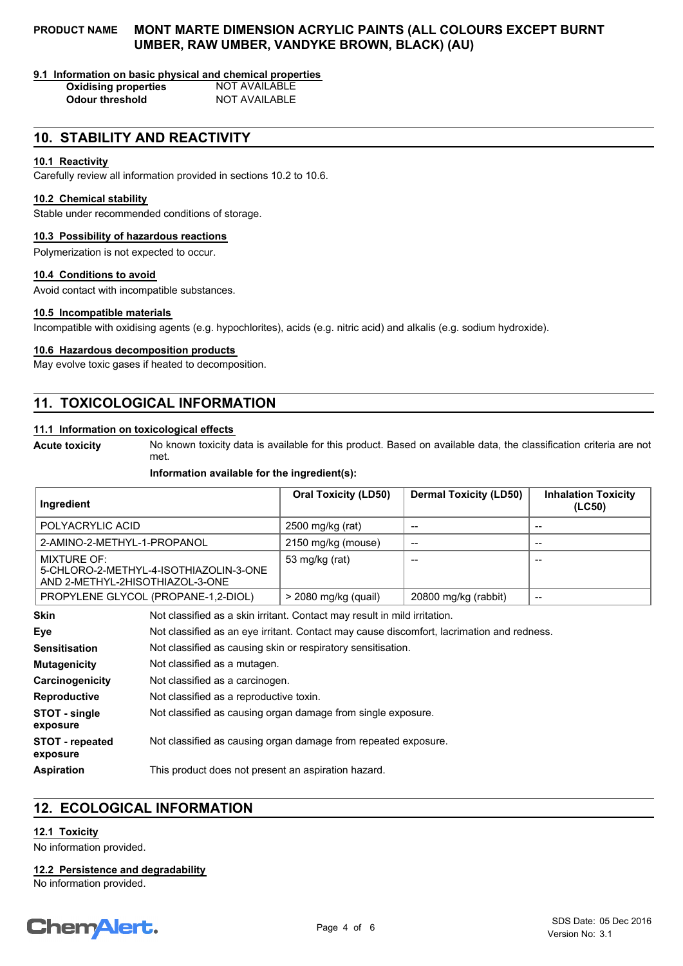#### **9.1 Information on basic physical and chemical properties**

**Oxidising properties** NOT AVAILABLE **Odour threshold** NOT AVAILABLE

## **10. STABILITY AND REACTIVITY**

### **10.1 Reactivity**

Carefully review all information provided in sections 10.2 to 10.6.

## **10.2 Chemical stability**

Stable under recommended conditions of storage.

#### **10.3 Possibility of hazardous reactions**

Polymerization is not expected to occur.

#### **10.4 Conditions to avoid**

Avoid contact with incompatible substances.

#### **10.5 Incompatible materials**

Incompatible with oxidising agents (e.g. hypochlorites), acids (e.g. nitric acid) and alkalis (e.g. sodium hydroxide).

#### **10.6 Hazardous decomposition products**

May evolve toxic gases if heated to decomposition.

## **11. TOXICOLOGICAL INFORMATION**

#### **11.1 Information on toxicological effects**

**Acute toxicity**

No known toxicity data is available for this product. Based on available data, the classification criteria are not met.

#### **Information available for the ingredient(s):**

| Ingredient                                                                                      | <b>Oral Toxicity (LD50)</b> | <b>Dermal Toxicity (LD50)</b> | <b>Inhalation Toxicity</b><br>(LC50) |
|-------------------------------------------------------------------------------------------------|-----------------------------|-------------------------------|--------------------------------------|
| POLYACRYLIC ACID                                                                                | 2500 mg/kg (rat)            | --                            | --                                   |
| 2-AMINO-2-METHYL-1-PROPANOL                                                                     | 2150 mg/kg (mouse)          | --                            | --                                   |
| <b>MIXTURE OF:</b><br>5-CHLORO-2-METHYL-4-ISOTHIAZOLIN-3-ONE<br>AND 2-METHYL-2HISOTHIAZOL-3-ONE | 53 mg/kg (rat)              | --                            | --                                   |
| PROPYLENE GLYCOL (PROPANE-1,2-DIOL)                                                             | > 2080 mg/kg (quail)        | 20800 mg/kg (rabbit)          | --                                   |

| <b>Skin</b>                 | Not classified as a skin irritant. Contact may result in mild irritation.                 |
|-----------------------------|-------------------------------------------------------------------------------------------|
| Eye                         | Not classified as an eye irritant. Contact may cause discomfort, lacrimation and redness. |
| <b>Sensitisation</b>        | Not classified as causing skin or respiratory sensitisation.                              |
| <b>Mutagenicity</b>         | Not classified as a mutagen.                                                              |
| Carcinogenicity             | Not classified as a carcinogen.                                                           |
| <b>Reproductive</b>         | Not classified as a reproductive toxin.                                                   |
| STOT - single<br>exposure   | Not classified as causing organ damage from single exposure.                              |
| STOT - repeated<br>exposure | Not classified as causing organ damage from repeated exposure.                            |
| <b>Aspiration</b>           | This product does not present an aspiration hazard.                                       |

## **12. ECOLOGICAL INFORMATION**

## **12.1 Toxicity**

No information provided.

**12.2 Persistence and degradability**

No information provided.

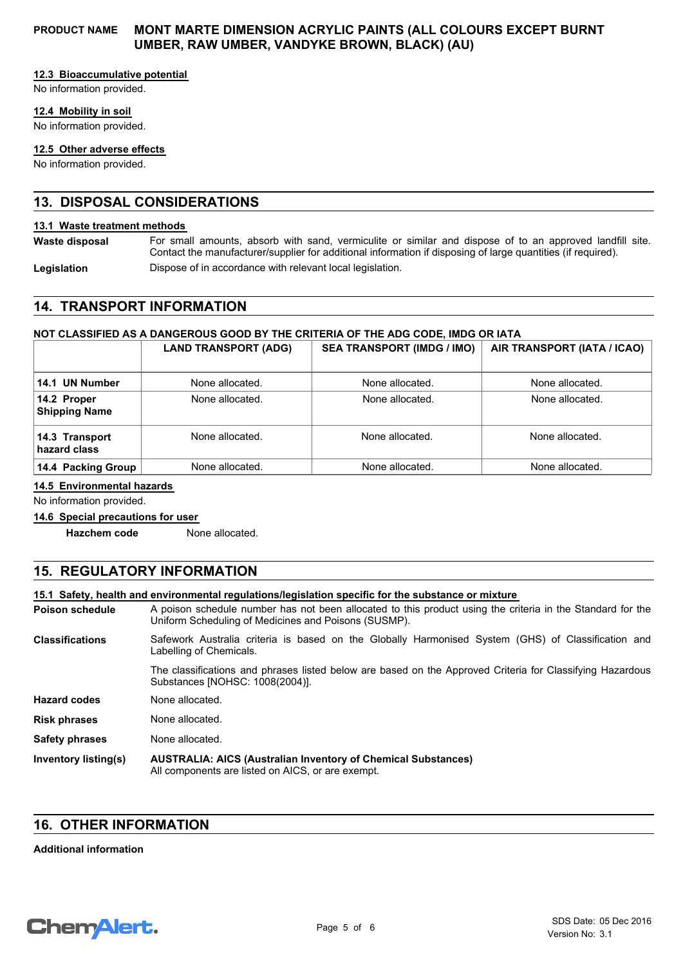#### **12.3 Bioaccumulative potential**

No information provided.

#### **12.4 Mobility in soil**

No information provided.

#### **12.5 Other adverse effects**

No information provided.

## **13. DISPOSAL CONSIDERATIONS**

#### **13.1 Waste treatment methods**

For small amounts, absorb with sand, vermiculite or similar and dispose of to an approved landfill site. Contact the manufacturer/supplier for additional information if disposing of large quantities (if required). **Waste disposal** Legislation **Dispose of in accordance with relevant local legislation.** 

## **14. TRANSPORT INFORMATION**

#### **NOT CLASSIFIED AS A DANGEROUS GOOD BY THE CRITERIA OF THE ADG CODE, IMDG OR IATA**

|                                     | <b>LAND TRANSPORT (ADG)</b> | <b>SEA TRANSPORT (IMDG / IMO)</b> | AIR TRANSPORT (IATA / ICAO) |
|-------------------------------------|-----------------------------|-----------------------------------|-----------------------------|
| 14.1 UN Number                      | None allocated.             | None allocated.                   | None allocated.             |
| 14.2 Proper<br><b>Shipping Name</b> | None allocated.             | None allocated.                   | None allocated.             |
| 14.3 Transport<br>hazard class      | None allocated.             | None allocated.                   | None allocated.             |
| 14.4 Packing Group                  | None allocated.             | None allocated.                   | None allocated.             |

**14.5 Environmental hazards**

No information provided.

**14.6 Special precautions for user**

**Hazchem code** None allocated.

## **15. REGULATORY INFORMATION**

**15.1 Safety, health and environmental regulations/legislation specific for the substance or mixture**

A poison schedule number has not been allocated to this product using the criteria in the Standard for the Uniform Scheduling of Medicines and Poisons (SUSMP). **Poison schedule**

Safework Australia criteria is based on the Globally Harmonised System (GHS) of Classification and Labelling of Chemicals. **Classifications**

The classifications and phrases listed below are based on the Approved Criteria for Classifying Hazardous Substances [NOHSC: 1008(2004)].

**Risk phrases** None allocated. **Hazard codes** None allocated.

**Safety phrases** None allocated.

**AUSTRALIA: AICS (Australian Inventory of Chemical Substances)** All components are listed on AICS, or are exempt. **Inventory listing(s)**

## **16. OTHER INFORMATION**

#### **Additional information**